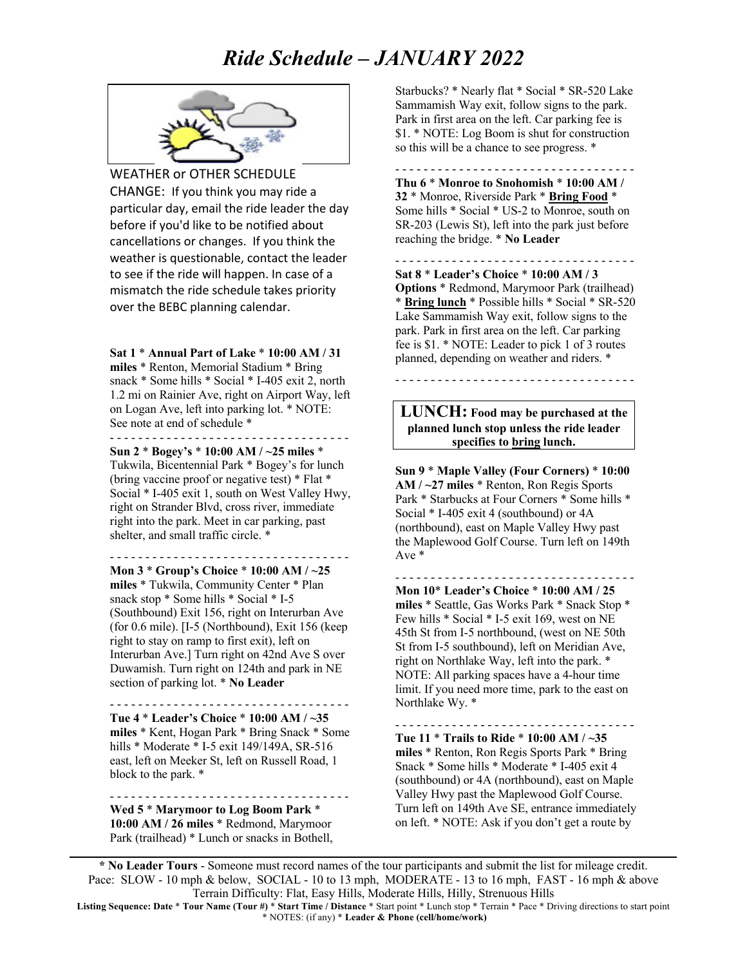# *Ride Schedule – JANUARY 2022*



WEATHER or OTHER SCHEDULE CHANGE: If you think you may ride a particular day, email the ride leader the day before if you'd like to be notified about cancellations or changes. If you think the weather is questionable, contact the leader to see if the ride will happen. In case of a mismatch the ride schedule takes priority over the BEBC planning calendar.

**Sat 1** \* **Annual Part of Lake** \* **10:00 AM / 31 miles** \* Renton, Memorial Stadium \* Bring snack \* Some hills \* Social \* I-405 exit 2, north 1.2 mi on Rainier Ave, right on Airport Way, left

on Logan Ave, left into parking lot. \* NOTE: See note at end of schedule \* - - - - - - - - - - - - - - - - - - - - - - - - - - - - - - - - - -

**Sun 2** \* **Bogey's** \* **10:00 AM / ~25 miles** \* Tukwila, Bicentennial Park \* Bogey's for lunch (bring vaccine proof or negative test) \* Flat \* Social \* I-405 exit 1, south on West Valley Hwy, right on Strander Blvd, cross river, immediate right into the park. Meet in car parking, past shelter, and small traffic circle. \*

- - - - - - - - - - - - - - - - - - - - - - - - - - - - - - - - - - **Mon 3** \* **Group's Choice** \* **10:00 AM / ~25 miles** \* Tukwila, Community Center \* Plan snack stop \* Some hills \* Social \* I-5 (Southbound) Exit 156, right on Interurban Ave (for 0.6 mile). [I-5 (Northbound), Exit 156 (keep right to stay on ramp to first exit), left on Interurban Ave.] Turn right on 42nd Ave S over Duwamish. Turn right on 124th and park in NE section of parking lot. \* **No Leader**

- - - - - - - - - - - - - - - - - - - - - - - - - - - - - - - - - - **Tue 4** \* **Leader's Choice** \* **10:00 AM / ~35 miles** \* Kent, Hogan Park \* Bring Snack \* Some hills \* Moderate \* I-5 exit 149/149A, SR-516 east, left on Meeker St, left on Russell Road, 1 block to the park. \*

**Wed 5** \* **Marymoor to Log Boom Park** \* **10:00 AM / 26 miles** \* Redmond, Marymoor Park (trailhead) \* Lunch or snacks in Bothell,

- - - - - - - - - - - - - - - - - - - - - - - - - - - - - - - - - -

Starbucks? \* Nearly flat \* Social \* SR-520 Lake Sammamish Way exit, follow signs to the park. Park in first area on the left. Car parking fee is \$1. \* NOTE: Log Boom is shut for construction so this will be a chance to see progress. \*

- - - - - - - - - - - - - - - - - - - - - - - - - - - - - - - - - - **Thu 6** \* **Monroe to Snohomish** \* **10:00 AM / 32** \* Monroe, Riverside Park \* **Bring Food** \* Some hills \* Social \* US-2 to Monroe, south on SR-203 (Lewis St), left into the park just before reaching the bridge. \* **No Leader**

- - - - - - - - - - - - - - - - - - - - - - - - - - - - - - - - - - **Sat 8** \* **Leader's Choice** \* **10:00 AM / 3 Options** \* Redmond, Marymoor Park (trailhead) \* **Bring lunch** \* Possible hills \* Social \* SR-520 Lake Sammamish Way exit, follow signs to the park. Park in first area on the left. Car parking fee is \$1. \* NOTE: Leader to pick 1 of 3 routes planned, depending on weather and riders. \*

#### **LUNCH: Food may be purchased at the planned lunch stop unless the ride leader specifies to bring lunch.**

- - - - - - - - - - - - - - - - - - - - - - - - - - - - - - - - - -

**Sun 9** \* **Maple Valley (Four Corners)** \* **10:00 AM / ~27 miles** \* Renton, Ron Regis Sports Park \* Starbucks at Four Corners \* Some hills \* Social \* I-405 exit 4 (southbound) or 4A (northbound), east on Maple Valley Hwy past the Maplewood Golf Course. Turn left on 149th Ave \*

- - - - - - - - - - - - - - - - - - - - - - - - - - - - - - - - - -

**Mon 10**\* **Leader's Choice** \* **10:00 AM / 25 miles** \* Seattle, Gas Works Park \* Snack Stop \* Few hills \* Social \* I-5 exit 169, west on NE 45th St from I-5 northbound, (west on NE 50th St from I-5 southbound), left on Meridian Ave, right on Northlake Way, left into the park. \* NOTE: All parking spaces have a 4-hour time limit. If you need more time, park to the east on Northlake Wy. \*

**Tue 11** \* **Trails to Ride** \* **10:00 AM / ~35 miles** \* Renton, Ron Regis Sports Park \* Bring Snack \* Some hills \* Moderate \* I-405 exit 4 (southbound) or 4A (northbound), east on Maple Valley Hwy past the Maplewood Golf Course. Turn left on 149th Ave SE, entrance immediately on left. \* NOTE: Ask if you don't get a route by

- - - - - - - - - - - - - - - - - - - - - - - - - - - - - - - - - -

**\* No Leader Tours** - Someone must record names of the tour participants and submit the list for mileage credit. Pace: SLOW - 10 mph & below, SOCIAL - 10 to 13 mph, MODERATE - 13 to 16 mph, FAST - 16 mph & above Terrain Difficulty: Flat, Easy Hills, Moderate Hills, Hilly, Strenuous Hills

**Listing Sequence: Date** \* **Tour Name (Tour #)** \* **Start Time / Distance** \* Start point \* Lunch stop \* Terrain \* Pace \* Driving directions to start point \* NOTES: (if any) \* **Leader & Phone (cell/home/work)**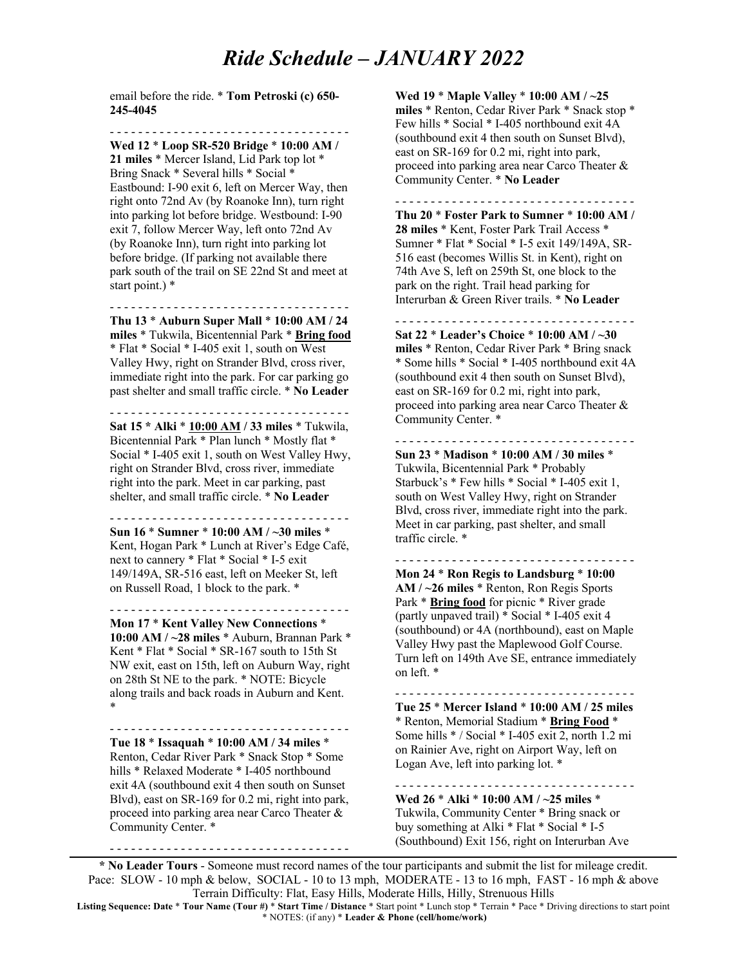## *Ride Schedule – JANUARY 2022*

email before the ride. \* **Tom Petroski (c) 650- 245-4045**

- - - - - - - - - - - - - - - - - - - - - - - - - - - - - - - - - -

**Wed 12** \* **Loop SR-520 Bridge** \* **10:00 AM / 21 miles** \* Mercer Island, Lid Park top lot \* Bring Snack \* Several hills \* Social \* Eastbound: I-90 exit 6, left on Mercer Way, then right onto 72nd Av (by Roanoke Inn), turn right into parking lot before bridge. Westbound: I-90 exit 7, follow Mercer Way, left onto 72nd Av (by Roanoke Inn), turn right into parking lot before bridge. (If parking not available there park south of the trail on SE 22nd St and meet at start point.) \*

- - - - - - - - - - - - - - - - - - - - - - - - - - - - - - - - - -

**Thu 13** \* **Auburn Super Mall** \* **10:00 AM / 24 miles** \* Tukwila, Bicentennial Park \* **Bring food** \* Flat \* Social \* I-405 exit 1, south on West Valley Hwy, right on Strander Blvd, cross river, immediate right into the park. For car parking go past shelter and small traffic circle. \* **No Leader**

- - - - - - - - - - - - - - - - - - - - - - - - - - - - - - - - - -

**Sat 15 \* Alki** \* **10:00 AM / 33 miles** \* Tukwila, Bicentennial Park \* Plan lunch \* Mostly flat \* Social \* I-405 exit 1, south on West Valley Hwy, right on Strander Blvd, cross river, immediate right into the park. Meet in car parking, past shelter, and small traffic circle. \* **No Leader**

- - - - - - - - - - - - - - - - - - - - - - - - - - - - - - - - - - **Sun 16** \* **Sumner** \* **10:00 AM / ~30 miles** \*

Kent, Hogan Park \* Lunch at River's Edge Café, next to cannery \* Flat \* Social \* I-5 exit 149/149A, SR-516 east, left on Meeker St, left on Russell Road, 1 block to the park. \*

- - - - - - - - - - - - - - - - - - - - - - - - - - - - - - - - - -

**Mon 17** \* **Kent Valley New Connections** \* **10:00 AM / ~28 miles** \* Auburn, Brannan Park \* Kent \* Flat \* Social \* SR-167 south to 15th St NW exit, east on 15th, left on Auburn Way, right on 28th St NE to the park. \* NOTE: Bicycle along trails and back roads in Auburn and Kent. \*

- - - - - - - - - - - - - - - - - - - - - - - - - - - - - - - - - -

**Tue 18** \* **Issaquah** \* **10:00 AM / 34 miles** \*

Renton, Cedar River Park \* Snack Stop \* Some hills \* Relaxed Moderate \* I-405 northbound exit 4A (southbound exit 4 then south on Sunset Blvd), east on SR-169 for 0.2 mi, right into park, proceed into parking area near Carco Theater & Community Center. \*

- - - - - - - - - - - - - - - - - - - - - - - - - - - - - - - - - -

**Wed 19** \* **Maple Valley** \* **10:00 AM / ~25** 

**miles** \* Renton, Cedar River Park \* Snack stop \* Few hills \* Social \* I-405 northbound exit 4A (southbound exit 4 then south on Sunset Blvd), east on SR-169 for 0.2 mi, right into park, proceed into parking area near Carco Theater & Community Center. \* **No Leader**

- - - - - - - - - - - - - - - - - - - - - - - - - - - - - - - - - -

**Thu 20** \* **Foster Park to Sumner** \* **10:00 AM / 28 miles** \* Kent, Foster Park Trail Access \* Sumner \* Flat \* Social \* I-5 exit 149/149A, SR-516 east (becomes Willis St. in Kent), right on 74th Ave S, left on 259th St, one block to the park on the right. Trail head parking for Interurban & Green River trails. \* **No Leader**

- - - - - - - - - - - - - - - - - - - - - - - - - - - - - - - - - - **Sat 22** \* **Leader's Choice** \* **10:00 AM / ~30 miles** \* Renton, Cedar River Park \* Bring snack \* Some hills \* Social \* I-405 northbound exit 4A (southbound exit 4 then south on Sunset Blvd), east on SR-169 for 0.2 mi, right into park, proceed into parking area near Carco Theater & Community Center. \*

- - - - - - - - - - - - - - - - - - - - - - - - - - - - - - - - - - **Sun 23** \* **Madison** \* **10:00 AM / 30 miles** \* Tukwila, Bicentennial Park \* Probably Starbuck's \* Few hills \* Social \* I-405 exit 1, south on West Valley Hwy, right on Strander Blvd, cross river, immediate right into the park. Meet in car parking, past shelter, and small traffic circle. \*

- - - - - - - - - - - - - - - - - - - - - - - - - - - - - - - - - - **Mon 24** \* **Ron Regis to Landsburg** \* **10:00 AM / ~26 miles** \* Renton, Ron Regis Sports Park \* **Bring food** for picnic \* River grade (partly unpaved trail) \* Social \* I-405 exit 4 (southbound) or 4A (northbound), east on Maple Valley Hwy past the Maplewood Golf Course. Turn left on 149th Ave SE, entrance immediately on left. \*

- - - - - - - - - - - - - - - - - - - - - - - - - - - - - - - - - - **Tue 25** \* **Mercer Island** \* **10:00 AM / 25 miles** \* Renton, Memorial Stadium \* **Bring Food** \* Some hills \* / Social \* I-405 exit 2, north 1.2 mi on Rainier Ave, right on Airport Way, left on Logan Ave, left into parking lot. \*

- - - - - - - - - - - - - - - - - - - - - - - - - - - - - - - - - - **Wed 26** \* **Alki** \* **10:00 AM / ~25 miles** \* Tukwila, Community Center \* Bring snack or buy something at Alki \* Flat \* Social \* I-5 (Southbound) Exit 156, right on Interurban Ave

**\* No Leader Tours** - Someone must record names of the tour participants and submit the list for mileage credit. Pace: SLOW - 10 mph & below, SOCIAL - 10 to 13 mph, MODERATE - 13 to 16 mph, FAST - 16 mph & above Terrain Difficulty: Flat, Easy Hills, Moderate Hills, Hilly, Strenuous Hills

**Listing Sequence: Date** \* **Tour Name (Tour #)** \* **Start Time / Distance** \* Start point \* Lunch stop \* Terrain \* Pace \* Driving directions to start point \* NOTES: (if any) \* **Leader & Phone (cell/home/work)**